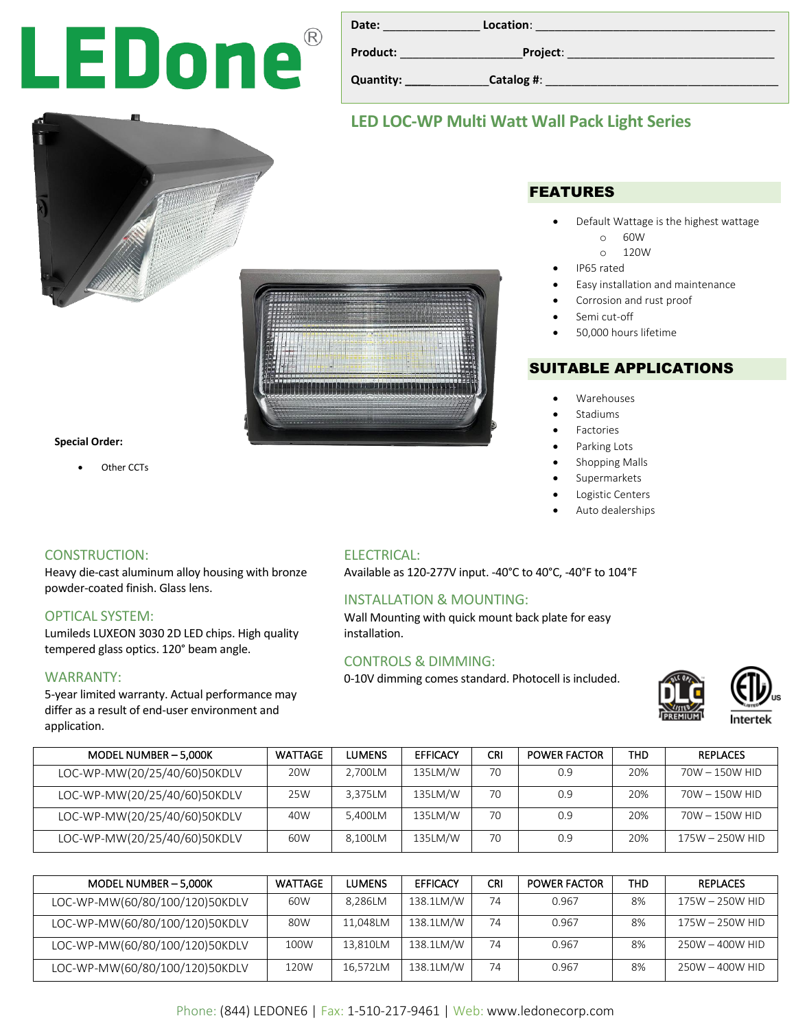# LEDone®

| <b>Date:</b> | Location:  |
|--------------|------------|
| Product:     | Project:   |
| Quantity:    | Catalog #: |
|              |            |

FEATURES

• Default Wattage is the highest wattage

• Easy installation and maintenance

o 60W o 120W

Corrosion and rust proof

• 50,000 hours lifetime

SUITABLE APPLICATIONS

• IP65 rated

Semi cut-off

• Warehouses **Stadiums Factories** Parking Lots Shopping Malls **Supermarkets** Logistic Centers • Auto dealerships

## **LED LOC-WP Multi Watt Wall Pack Light Series**



#### **Special Order:**

Other CCTs

#### CONSTRUCTION:

Heavy die-cast aluminum alloy housing with bronze powder-coated finish. Glass lens.

#### OPTICAL SYSTEM:

Lumileds LUXEON 3030 2D LED chips. High quality tempered glass optics. 120° beam angle.

#### WARRANTY:

5-year limited warranty. Actual performance may differ as a result of end-user environment and application.

#### ELECTRICAL:

Available as 120-277V input. -40°C to 40°C, -40°F to 104°F

#### INSTALLATION & MOUNTING:

Wall Mounting with quick mount back plate for easy installation.

#### CONTROLS & DIMMING:

0-10V dimming comes standard. Photocell is included.





| MODEL NUMBER - 5,000K        | <b>WATTAGE</b> | LUMENS  | <b>EFFICACY</b> | CRI | <b>POWER FACTOR</b> | <b>THD</b> | <b>REPLACES</b>  |
|------------------------------|----------------|---------|-----------------|-----|---------------------|------------|------------------|
| LOC-WP-MW(20/25/40/60)50KDLV | 20W            | 2.700LM | 135LM/W         | 70  | 0.9                 | 20%        | $70W - 150W$ HID |
| LOC-WP-MW(20/25/40/60)50KDLV | 25W            | 3.375LM | 135LM/W         | 70  | 0.9                 | 20%        | 70W - 150W HID   |
| LOC-WP-MW(20/25/40/60)50KDLV | 40W            | 5.400LM | 135LM/W         | 70  | 0.9                 | 20%        | 70W - 150W HID   |
| LOC-WP-MW(20/25/40/60)50KDLV | 60W            | 8.100LM | 135LM/W         | 70  | 0.9                 | 20%        | 175W - 250W HID  |

| MODEL NUMBER - 5,000K          | <b>WATTAGE</b> | LUMENS   | <b>EFFICACY</b> | CRI | <b>POWER FACTOR</b> | <b>THD</b> | <b>REPLACES</b> |
|--------------------------------|----------------|----------|-----------------|-----|---------------------|------------|-----------------|
| LOC-WP-MW(60/80/100/120)50KDLV | 60W            | 8,286LM  | 138.1LM/W       | 74  | 0.967               | 8%         | 175W - 250W HID |
| LOC-WP-MW(60/80/100/120)50KDLV | 80W            | 11.048LM | 138.1LM/W       | 74  | 0.967               | 8%         | 175W - 250W HID |
| LOC-WP-MW(60/80/100/120)50KDLV | 100W           | 13,810LM | 138.1LM/W       | 74  | 0.967               | 8%         | 250W - 400W HID |
| LOC-WP-MW(60/80/100/120)50KDLV | 120W           | 16,572LM | 138.1LM/W       | 74  | 0.967               | 8%         | 250W - 400W HID |

#### Phone: (844) LEDONE6 | Fax: 1-510-217-9461 | Web: www.ledonecorp.com